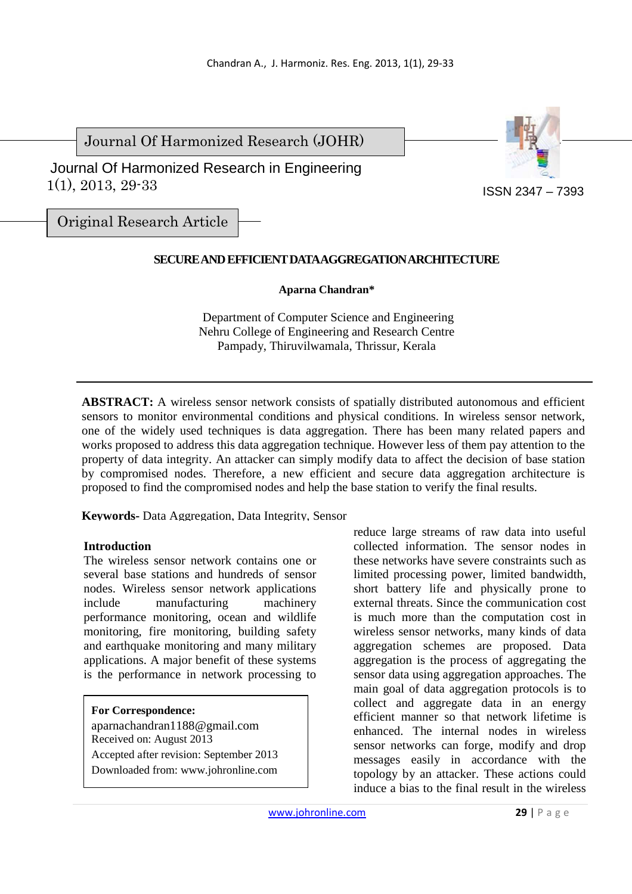Journal Of Harmonized Research (JOHR)



 Journal Of Harmonized Research in Engineering 1(1), 2013, 29-33

ISSN 2347 – 7393

Original Research Article

# **SECURE AND EFFICIENT DATA AGGREGATION ARCHITECTURE**

### **Aparna Chandran\***

 Department of Computer Science and Engineering Nehru College of Engineering and Research Centre Pampady, Thiruvilwamala, Thrissur, Kerala

**ABSTRACT:** A wireless sensor network consists of spatially distributed autonomous and efficient sensors to monitor environmental conditions and physical conditions. In wireless sensor network, one of the widely used techniques is data aggregation. There has been many related papers and works proposed to address this data aggregation technique. However less of them pay attention to the property of data integrity. An attacker can simply modify data to affect the decision of base station by compromised nodes. Therefore, a new efficient and secure data aggregation architecture is proposed to find the compromised nodes and help the base station to verify the final results.

**Keywords-** Data Aggregation, Data Integrity, Sensor

# **Introduction**

The wireless sensor network contains one or several base stations and hundreds of sensor nodes. Wireless sensor network applications include manufacturing machinery performance monitoring, ocean and wildlife monitoring, fire monitoring, building safety and earthquake monitoring and many military applications. A major benefit of these systems is the performance in network processing to

### **For Correspondence:**

aparnachandran1188@gmail.com Received on: August 2013 Accepted after revision: September 2013 Downloaded from: www.johronline.com reduce large streams of raw data into useful collected information. The sensor nodes in these networks have severe constraints such as limited processing power, limited bandwidth, short battery life and physically prone to external threats. Since the communication cost is much more than the computation cost in wireless sensor networks, many kinds of data aggregation schemes are proposed. Data aggregation is the process of aggregating the sensor data using aggregation approaches. The main goal of data aggregation protocols is to collect and aggregate data in an energy efficient manner so that network lifetime is enhanced. The internal nodes in wireless sensor networks can forge, modify and drop messages easily in accordance with the topology by an attacker. These actions could induce a bias to the final result in the wireless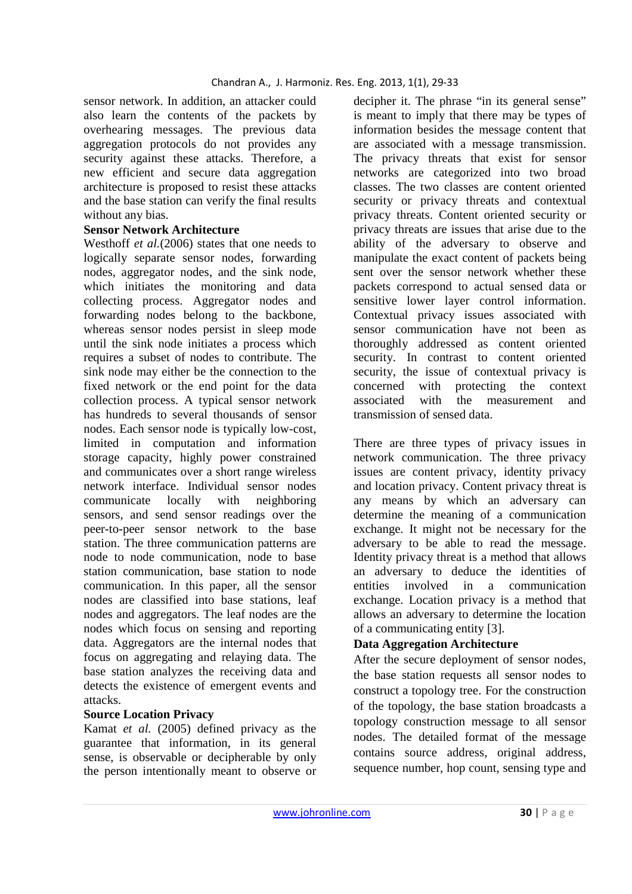sensor network. In addition, an attacker could also learn the contents of the packets by overhearing messages. The previous data aggregation protocols do not provides any security against these attacks. Therefore, a new efficient and secure data aggregation architecture is proposed to resist these attacks and the base station can verify the final results without any bias.

#### **Sensor Network Architecture**

Westhoff *et al.*(2006) states that one needs to logically separate sensor nodes, forwarding nodes, aggregator nodes, and the sink node, which initiates the monitoring and data collecting process. Aggregator nodes and forwarding nodes belong to the backbone, whereas sensor nodes persist in sleep mode until the sink node initiates a process which requires a subset of nodes to contribute. The sink node may either be the connection to the fixed network or the end point for the data collection process. A typical sensor network has hundreds to several thousands of sensor nodes. Each sensor node is typically low-cost, limited in computation and information storage capacity, highly power constrained and communicates over a short range wireless network interface. Individual sensor nodes communicate locally with neighboring sensors, and send sensor readings over the peer-to-peer sensor network to the base station. The three communication patterns are node to node communication, node to base station communication, base station to node communication. In this paper, all the sensor nodes are classified into base stations, leaf nodes and aggregators. The leaf nodes are the nodes which focus on sensing and reporting data. Aggregators are the internal nodes that focus on aggregating and relaying data. The base station analyzes the receiving data and detects the existence of emergent events and attacks.

### **Source Location Privacy**

Kamat *et al.* (2005) defined privacy as the guarantee that information, in its general sense, is observable or decipherable by only the person intentionally meant to observe or decipher it. The phrase "in its general sense" is meant to imply that there may be types of information besides the message content that are associated with a message transmission. The privacy threats that exist for sensor networks are categorized into two broad classes. The two classes are content oriented security or privacy threats and contextual privacy threats. Content oriented security or privacy threats are issues that arise due to the ability of the adversary to observe and manipulate the exact content of packets being sent over the sensor network whether these packets correspond to actual sensed data or sensitive lower layer control information. Contextual privacy issues associated with sensor communication have not been as thoroughly addressed as content oriented security. In contrast to content oriented security, the issue of contextual privacy is concerned with protecting the context associated with the measurement and transmission of sensed data.

There are three types of privacy issues in network communication. The three privacy issues are content privacy, identity privacy and location privacy. Content privacy threat is any means by which an adversary can determine the meaning of a communication exchange. It might not be necessary for the adversary to be able to read the message. Identity privacy threat is a method that allows an adversary to deduce the identities of entities involved in a communication exchange. Location privacy is a method that allows an adversary to determine the location of a communicating entity [3].

# **Data Aggregation Architecture**

After the secure deployment of sensor nodes, the base station requests all sensor nodes to construct a topology tree. For the construction of the topology, the base station broadcasts a topology construction message to all sensor nodes. The detailed format of the message contains source address, original address, sequence number, hop count, sensing type and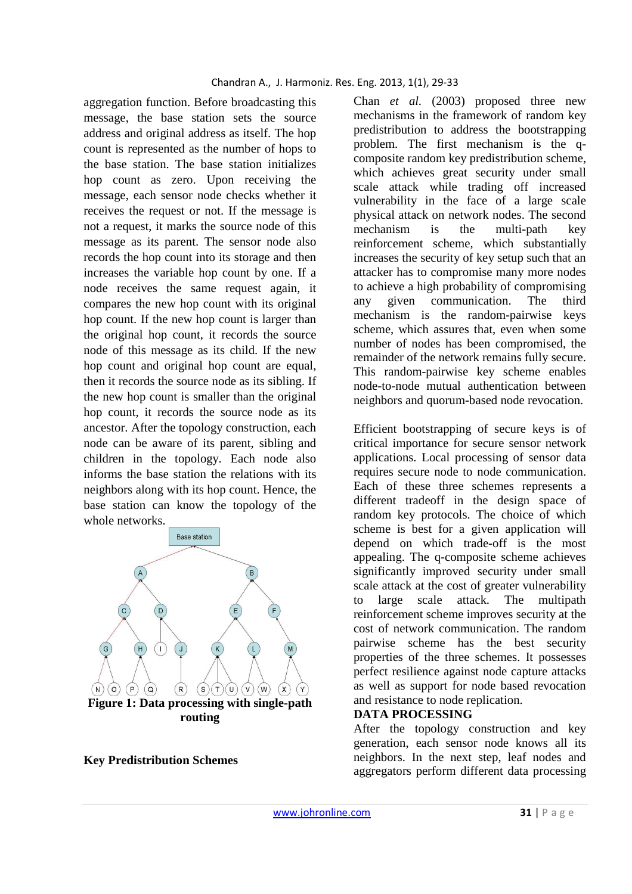aggregation function. Before broadcasting this message, the base station sets the source address and original address as itself. The hop count is represented as the number of hops to the base station. The base station initializes hop count as zero. Upon receiving the message, each sensor node checks whether it receives the request or not. If the message is not a request, it marks the source node of this message as its parent. The sensor node also records the hop count into its storage and then increases the variable hop count by one. If a node receives the same request again, it compares the new hop count with its original hop count. If the new hop count is larger than the original hop count, it records the source node of this message as its child. If the new hop count and original hop count are equal, then it records the source node as its sibling. If the new hop count is smaller than the original hop count, it records the source node as its ancestor. After the topology construction, each node can be aware of its parent, sibling and children in the topology. Each node also informs the base station the relations with its neighbors along with its hop count. Hence, the base station can know the topology of the whole networks.



### **Key Predistribution Schemes**

Chan *et al.* (2003) proposed three new mechanisms in the framework of random key predistribution to address the bootstrapping problem. The first mechanism is the qcomposite random key predistribution scheme, which achieves great security under small scale attack while trading off increased vulnerability in the face of a large scale physical attack on network nodes. The second mechanism is the multi-path key reinforcement scheme, which substantially increases the security of key setup such that an attacker has to compromise many more nodes to achieve a high probability of compromising any given communication. The third mechanism is the random-pairwise keys scheme, which assures that, even when some number of nodes has been compromised, the remainder of the network remains fully secure. This random-pairwise key scheme enables node-to-node mutual authentication between neighbors and quorum-based node revocation.

Efficient bootstrapping of secure keys is of critical importance for secure sensor network applications. Local processing of sensor data requires secure node to node communication. Each of these three schemes represents a different tradeoff in the design space of random key protocols. The choice of which scheme is best for a given application will depend on which trade-off is the most appealing. The q-composite scheme achieves significantly improved security under small scale attack at the cost of greater vulnerability to large scale attack. The multipath reinforcement scheme improves security at the cost of network communication. The random pairwise scheme has the best security properties of the three schemes. It possesses perfect resilience against node capture attacks as well as support for node based revocation and resistance to node replication.

### **DATA PROCESSING**

After the topology construction and key generation, each sensor node knows all its neighbors. In the next step, leaf nodes and aggregators perform different data processing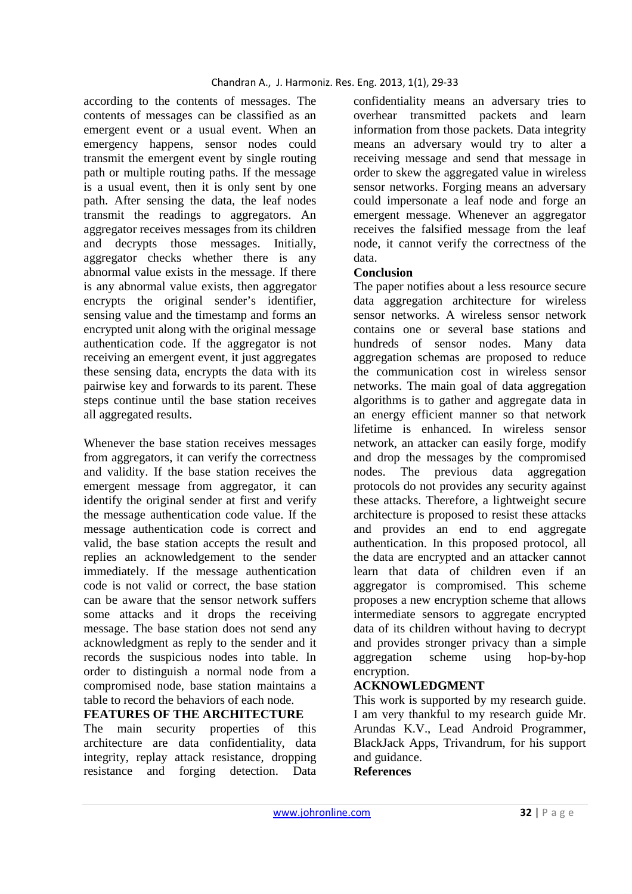according to the contents of messages. The contents of messages can be classified as an emergent event or a usual event. When an emergency happens, sensor nodes could transmit the emergent event by single routing path or multiple routing paths. If the message is a usual event, then it is only sent by one path. After sensing the data, the leaf nodes transmit the readings to aggregators. An aggregator receives messages from its children and decrypts those messages. Initially, aggregator checks whether there is any abnormal value exists in the message. If there is any abnormal value exists, then aggregator encrypts the original sender's identifier, sensing value and the timestamp and forms an encrypted unit along with the original message authentication code. If the aggregator is not receiving an emergent event, it just aggregates these sensing data, encrypts the data with its pairwise key and forwards to its parent. These steps continue until the base station receives all aggregated results.

Whenever the base station receives messages from aggregators, it can verify the correctness and validity. If the base station receives the emergent message from aggregator, it can identify the original sender at first and verify the message authentication code value. If the message authentication code is correct and valid, the base station accepts the result and replies an acknowledgement to the sender immediately. If the message authentication code is not valid or correct, the base station can be aware that the sensor network suffers some attacks and it drops the receiving message. The base station does not send any acknowledgment as reply to the sender and it records the suspicious nodes into table. In order to distinguish a normal node from a compromised node, base station maintains a table to record the behaviors of each node.

### **FEATURES OF THE ARCHITECTURE**

The main security properties of this architecture are data confidentiality, data integrity, replay attack resistance, dropping resistance and forging detection. Data confidentiality means an adversary tries to overhear transmitted packets and learn information from those packets. Data integrity means an adversary would try to alter a receiving message and send that message in order to skew the aggregated value in wireless sensor networks. Forging means an adversary could impersonate a leaf node and forge an emergent message. Whenever an aggregator receives the falsified message from the leaf node, it cannot verify the correctness of the data.

### **Conclusion**

The paper notifies about a less resource secure data aggregation architecture for wireless sensor networks. A wireless sensor network contains one or several base stations and hundreds of sensor nodes. Many data aggregation schemas are proposed to reduce the communication cost in wireless sensor networks. The main goal of data aggregation algorithms is to gather and aggregate data in an energy efficient manner so that network lifetime is enhanced. In wireless sensor network, an attacker can easily forge, modify and drop the messages by the compromised nodes. The previous data aggregation protocols do not provides any security against these attacks. Therefore, a lightweight secure architecture is proposed to resist these attacks and provides an end to end aggregate authentication. In this proposed protocol, all the data are encrypted and an attacker cannot learn that data of children even if an aggregator is compromised. This scheme proposes a new encryption scheme that allows intermediate sensors to aggregate encrypted data of its children without having to decrypt and provides stronger privacy than a simple aggregation scheme using hop-by-hop encryption.

# **ACKNOWLEDGMENT**

This work is supported by my research guide. I am very thankful to my research guide Mr. Arundas K.V., Lead Android Programmer, BlackJack Apps, Trivandrum, for his support and guidance.

**References**